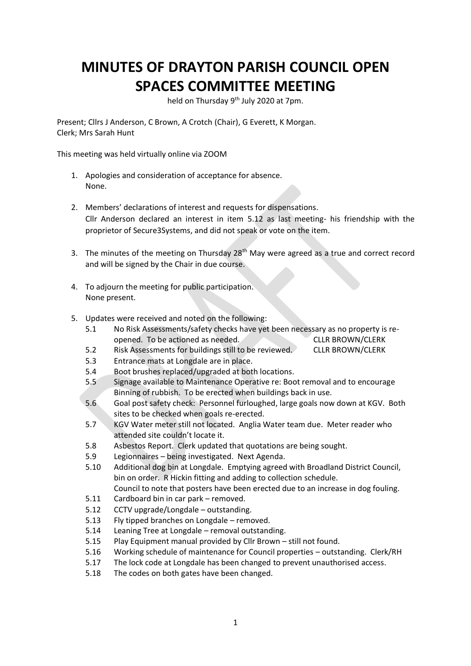## **MINUTES OF DRAYTON PARISH COUNCIL OPEN SPACES COMMITTEE MEETING**

held on Thursday 9<sup>th</sup> July 2020 at 7pm.

Present; Cllrs J Anderson, C Brown, A Crotch (Chair), G Everett, K Morgan. Clerk; Mrs Sarah Hunt

This meeting was held virtually online via ZOOM

- 1. Apologies and consideration of acceptance for absence. None.
- 2. Members' declarations of interest and requests for dispensations. Cllr Anderson declared an interest in item 5.12 as last meeting- his friendship with the proprietor of Secure3Systems, and did not speak or vote on the item.
- 3. The minutes of the meeting on Thursday 28<sup>th</sup> May were agreed as a true and correct record and will be signed by the Chair in due course.
- 4. To adjourn the meeting for public participation. None present.
- 5. Updates were received and noted on the following:
	- 5.1 No Risk Assessments/safety checks have yet been necessary as no property is reopened. To be actioned as needed. CLLR BROWN/CLERK
	- 5.2 Risk Assessments for buildings still to be reviewed. CLLR BROWN/CLERK
	- 5.3 Entrance mats at Longdale are in place.
	- 5.4 Boot brushes replaced/upgraded at both locations.
	- 5.5 Signage available to Maintenance Operative re: Boot removal and to encourage Binning of rubbish. To be erected when buildings back in use.
	- 5.6 Goal post safety check: Personnel furloughed, large goals now down at KGV. Both sites to be checked when goals re-erected.
	- 5.7 KGV Water meter still not located. Anglia Water team due. Meter reader who attended site couldn't locate it.
	- 5.8 Asbestos Report. Clerk updated that quotations are being sought.
	- 5.9 Legionnaires being investigated. Next Agenda.
	- 5.10 Additional dog bin at Longdale. Emptying agreed with Broadland District Council, bin on order. R Hickin fitting and adding to collection schedule. Council to note that posters have been erected due to an increase in dog fouling.
	- 5.11 Cardboard bin in car park removed.
	- 5.12 CCTV upgrade/Longdale outstanding.
	- 5.13 Fly tipped branches on Longdale removed.
	- 5.14 Leaning Tree at Longdale removal outstanding.
	- 5.15 Play Equipment manual provided by Cllr Brown still not found.
	- 5.16 Working schedule of maintenance for Council properties outstanding. Clerk/RH
	- 5.17 The lock code at Longdale has been changed to prevent unauthorised access.
	- 5.18 The codes on both gates have been changed.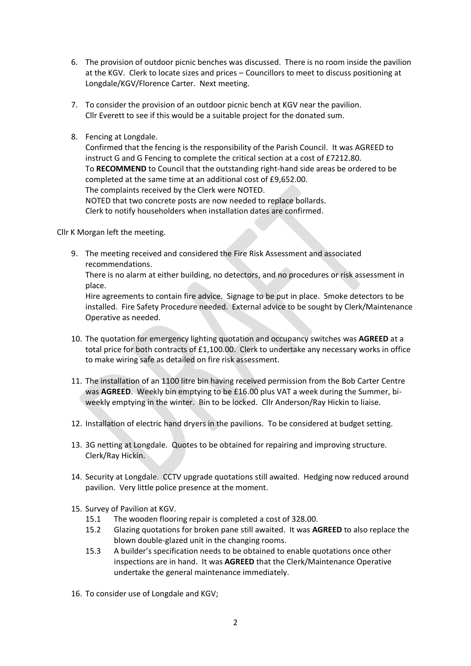- 6. The provision of outdoor picnic benches was discussed. There is no room inside the pavilion at the KGV. Clerk to locate sizes and prices – Councillors to meet to discuss positioning at Longdale/KGV/Florence Carter. Next meeting.
- 7. To consider the provision of an outdoor picnic bench at KGV near the pavilion. Cllr Everett to see if this would be a suitable project for the donated sum.
- 8. Fencing at Longdale.

Confirmed that the fencing is the responsibility of the Parish Council. It was AGREED to instruct G and G Fencing to complete the critical section at a cost of £7212.80. To **RECOMMEND** to Council that the outstanding right-hand side areas be ordered to be completed at the same time at an additional cost of £9,652.00. The complaints received by the Clerk were NOTED. NOTED that two concrete posts are now needed to replace bollards. Clerk to notify householders when installation dates are confirmed.

Cllr K Morgan left the meeting.

9. The meeting received and considered the Fire Risk Assessment and associated recommendations.

There is no alarm at either building, no detectors, and no procedures or risk assessment in place.

Hire agreements to contain fire advice. Signage to be put in place. Smoke detectors to be installed. Fire Safety Procedure needed. External advice to be sought by Clerk/Maintenance Operative as needed.

- 10. The quotation for emergency lighting quotation and occupancy switches was **AGREED** at a total price for both contracts of £1,100.00. Clerk to undertake any necessary works in office to make wiring safe as detailed on fire risk assessment.
- 11. The installation of an 1100 litre bin having received permission from the Bob Carter Centre was **AGREED**. Weekly bin emptying to be £16.00 plus VAT a week during the Summer, biweekly emptying in the winter. Bin to be locked. Cllr Anderson/Ray Hickin to liaise.
- 12. Installation of electric hand dryers in the pavilions. To be considered at budget setting.
- 13. 3G netting at Longdale. Quotes to be obtained for repairing and improving structure. Clerk/Ray Hickin.
- 14. Security at Longdale. CCTV upgrade quotations still awaited. Hedging now reduced around pavilion. Very little police presence at the moment.
- 15. Survey of Pavilion at KGV.
	- 15.1 The wooden flooring repair is completed a cost of 328.00.
	- 15.2 Glazing quotations for broken pane still awaited. It was **AGREED** to also replace the blown double-glazed unit in the changing rooms.
	- 15.3 A builder's specification needs to be obtained to enable quotations once other inspections are in hand. It was **AGREED** that the Clerk/Maintenance Operative undertake the general maintenance immediately.
- 16. To consider use of Longdale and KGV;